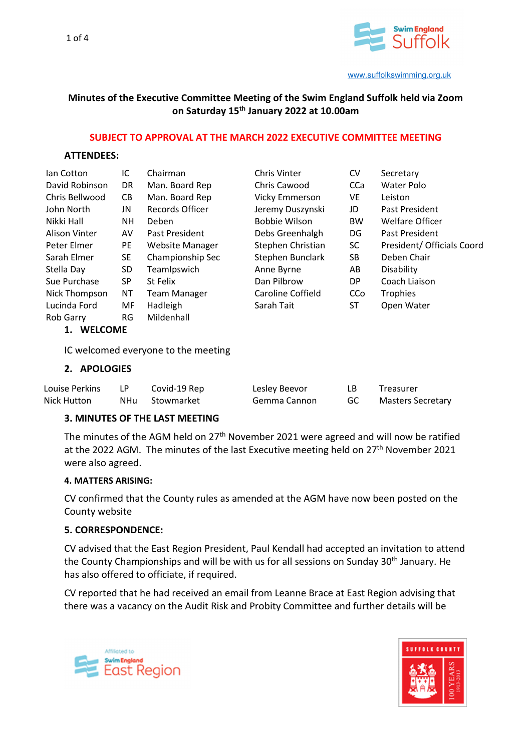

# **Minutes of the Executive Committee Meeting of the Swim England Suffolk held via Zoom on Saturday 15th January 2022 at 10.00am**

#### **SUBJECT TO APPROVAL AT THE MARCH 2022 EXECUTIVE COMMITTEE MEETING**

#### **ATTENDEES:**

| lan Cotton           | IC        | Chairman               | <b>Chris Vinter</b> | <b>CV</b>  | Secretary                  |  |
|----------------------|-----------|------------------------|---------------------|------------|----------------------------|--|
| David Robinson       | DR.       | Man. Board Rep         | Chris Cawood        | CCa        | Water Polo                 |  |
| Chris Bellwood       | CB.       | Man. Board Rep         | Vicky Emmerson      | VE.        | Leiston                    |  |
| John North           | JN        | Records Officer        | Jeremy Duszynski    | JD         | Past President             |  |
| Nikki Hall           | <b>NH</b> | Deben                  | Bobbie Wilson       | <b>BW</b>  | <b>Welfare Officer</b>     |  |
| Alison Vinter        | AV        | Past President         | Debs Greenhalgh     | DG         | Past President             |  |
| Peter Elmer          | PE        | <b>Website Manager</b> | Stephen Christian   | <b>SC</b>  | President/ Officials Coord |  |
| Sarah Elmer          | SE.       | Championship Sec       | Stephen Bunclark    | SB.        | Deben Chair                |  |
| Stella Day           | SD        | TeamIpswich            | Anne Byrne          | AB         | Disability                 |  |
| Sue Purchase         | SP        | St Felix               | Dan Pilbrow         | DP.        | Coach Liaison              |  |
| Nick Thompson        | NΤ        | Team Manager           | Caroline Coffield   | <b>CCo</b> | <b>Trophies</b>            |  |
| Lucinda Ford         | MF        | Hadleigh               | Sarah Tait          | ST         | Open Water                 |  |
| Rob Garry            | RG        | Mildenhall             |                     |            |                            |  |
| <b>WELCOME</b><br>1. |           |                        |                     |            |                            |  |

IC welcomed everyone to the meeting

### **2. APOLOGIES**

| Louise Perkins |       | Covid-19 Rep | Lesley Beevor | Treasurer         |
|----------------|-------|--------------|---------------|-------------------|
| Nick Hutton    | NHu – | Stowmarket   | Gemma Cannon  | Masters Secretary |

#### **3. MINUTES OF THE LAST MEETING**

The minutes of the AGM held on 27<sup>th</sup> November 2021 were agreed and will now be ratified at the 2022 AGM. The minutes of the last Executive meeting held on 27<sup>th</sup> November 2021 were also agreed.

#### **4. MATTERS ARISING:**

CV confirmed that the County rules as amended at the AGM have now been posted on the County website

### **5. CORRESPONDENCE:**

CV advised that the East Region President, Paul Kendall had accepted an invitation to attend the County Championships and will be with us for all sessions on Sunday 30<sup>th</sup> January. He has also offered to officiate, if required.

CV reported that he had received an email from Leanne Brace at East Region advising that there was a vacancy on the Audit Risk and Probity Committee and further details will be



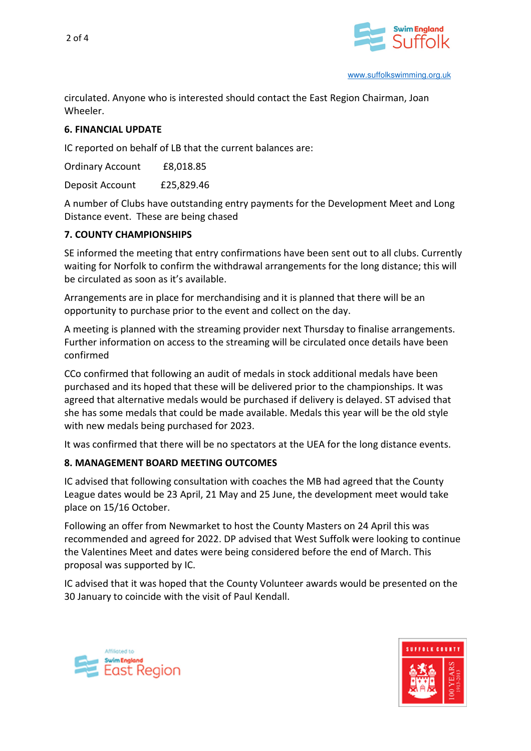



circulated. Anyone who is interested should contact the East Region Chairman, Joan Wheeler.

# **6. FINANCIAL UPDATE**

IC reported on behalf of LB that the current balances are:

Ordinary Account £8,018.85

Deposit Account £25,829.46

A number of Clubs have outstanding entry payments for the Development Meet and Long Distance event. These are being chased

## **7. COUNTY CHAMPIONSHIPS**

SE informed the meeting that entry confirmations have been sent out to all clubs. Currently waiting for Norfolk to confirm the withdrawal arrangements for the long distance; this will be circulated as soon as it's available.

Arrangements are in place for merchandising and it is planned that there will be an opportunity to purchase prior to the event and collect on the day.

A meeting is planned with the streaming provider next Thursday to finalise arrangements. Further information on access to the streaming will be circulated once details have been confirmed

CCo confirmed that following an audit of medals in stock additional medals have been purchased and its hoped that these will be delivered prior to the championships. It was agreed that alternative medals would be purchased if delivery is delayed. ST advised that she has some medals that could be made available. Medals this year will be the old style with new medals being purchased for 2023.

It was confirmed that there will be no spectators at the UEA for the long distance events.

# **8. MANAGEMENT BOARD MEETING OUTCOMES**

IC advised that following consultation with coaches the MB had agreed that the County League dates would be 23 April, 21 May and 25 June, the development meet would take place on 15/16 October.

Following an offer from Newmarket to host the County Masters on 24 April this was recommended and agreed for 2022. DP advised that West Suffolk were looking to continue the Valentines Meet and dates were being considered before the end of March. This proposal was supported by IC.

IC advised that it was hoped that the County Volunteer awards would be presented on the 30 January to coincide with the visit of Paul Kendall.



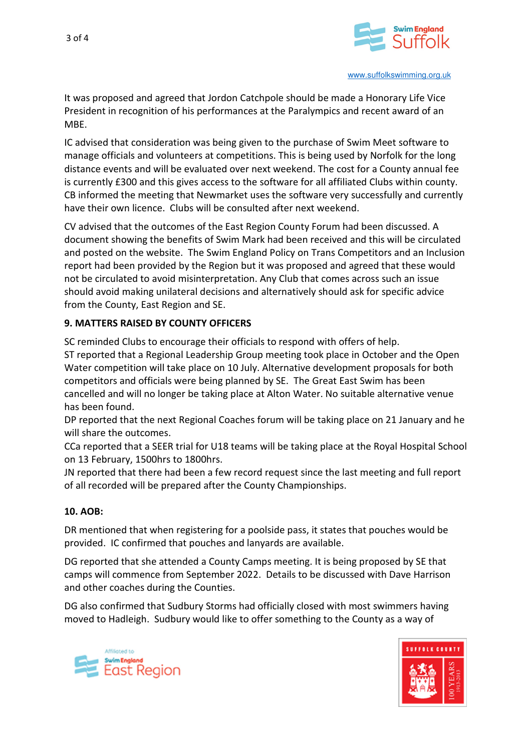

It was proposed and agreed that Jordon Catchpole should be made a Honorary Life Vice President in recognition of his performances at the Paralympics and recent award of an MBE.

IC advised that consideration was being given to the purchase of Swim Meet software to manage officials and volunteers at competitions. This is being used by Norfolk for the long distance events and will be evaluated over next weekend. The cost for a County annual fee is currently £300 and this gives access to the software for all affiliated Clubs within county. CB informed the meeting that Newmarket uses the software very successfully and currently have their own licence. Clubs will be consulted after next weekend.

CV advised that the outcomes of the East Region County Forum had been discussed. A document showing the benefits of Swim Mark had been received and this will be circulated and posted on the website. The Swim England Policy on Trans Competitors and an Inclusion report had been provided by the Region but it was proposed and agreed that these would not be circulated to avoid misinterpretation. Any Club that comes across such an issue should avoid making unilateral decisions and alternatively should ask for specific advice from the County, East Region and SE.

## **9. MATTERS RAISED BY COUNTY OFFICERS**

SC reminded Clubs to encourage their officials to respond with offers of help. ST reported that a Regional Leadership Group meeting took place in October and the Open Water competition will take place on 10 July. Alternative development proposals for both competitors and officials were being planned by SE. The Great East Swim has been cancelled and will no longer be taking place at Alton Water. No suitable alternative venue has been found.

DP reported that the next Regional Coaches forum will be taking place on 21 January and he will share the outcomes.

CCa reported that a SEER trial for U18 teams will be taking place at the Royal Hospital School on 13 February, 1500hrs to 1800hrs.

JN reported that there had been a few record request since the last meeting and full report of all recorded will be prepared after the County Championships.

## **10. AOB:**

DR mentioned that when registering for a poolside pass, it states that pouches would be provided. IC confirmed that pouches and lanyards are available.

DG reported that she attended a County Camps meeting. It is being proposed by SE that camps will commence from September 2022. Details to be discussed with Dave Harrison and other coaches during the Counties.

DG also confirmed that Sudbury Storms had officially closed with most swimmers having moved to Hadleigh. Sudbury would like to offer something to the County as a way of